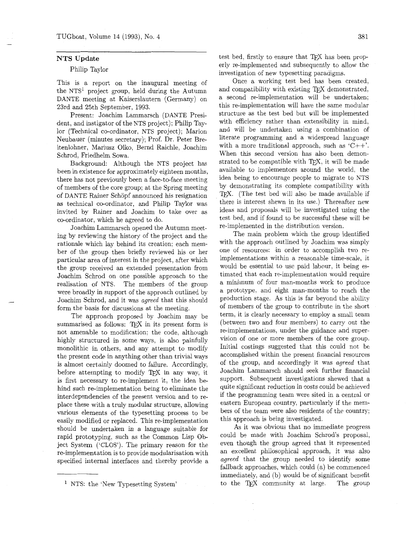### **NTS Update**

### Philip Taylor

This is a report on the inaugural meeting of the NTS' project group, held during the Autumn DANTE meeting at Kaiserslautern (Germany) on 23rd and 25th September, 1993.

Present: Joachim Lammarsch (DANTE President, and instigator of the NTS project); Philip Taylor (Technical co-ordinator, NTS project); Marion Neubauer (minutes secretary); Prof. Dr. Peter Breitenlohner, Mariusz Olko, Bernd Raichle, Joachim Schrod, Friedhelm Sowa.

Background: Although the NTS project has been in existence for approximately eighteen months, there has not previously been a face-to-face meeting of members of the core group; at the Spring meeting of DANTE Rainer Schopf announced his resignation as technical co-ordinator, and Philip Taylor was invited by Rainer and Joachim to take over as co-ordinator, which he agreed to do.

Joachim Lammarsch opened the Autumn meeting by reviewing the history of the project and the rationale which lay behind its creation; each member of the group then briefly reviewed his or her particular area of interest in the project, after which the group received an extended presentation from Joachim Schrod on one possible approach to the realisation of NTS. The members of the group were broadly in support of the approach outlined by Joachim Schrod, and it was *agreed* that this should form the basis for discussions at the meeting.

The approach proposed by Joachim may be summarised as follows: TFX in its present form is not amenable to modification: the code, although highly structured in some ways, is also painfully monolithic in others. and any attempt to modify the present code in anything other than trivial ways is almost certainly doomed to failure. Accordingly, before attempting to modify TEX in any way, it is first necessary to re-implement it. the idea behind such re-implementation being to eliminate the interdependencies of the present version and to replace these with a truly modular structure, allowing various elements of the typesetting process to be easily modified or replaced. This re-implementation should be undertaken in a language suitable for rapid prototyping, such as the Common Lisp Object System (%LOS'). The primary reason for the re-implementation is to provide modularisation with specified internal interfaces and thereby provide a

test bed, firstly to ensure that TpX has been properly re-implemented and subsequently to allow the investigation of new typesetting paradigms.

Once a working test bed has been created, and compatibility with existing TFX demonstrated, a second re-implementation will be undertaken; this re-implementation will have the same modular structure as the test bed but will be implemented with efficiency rather than extensibility in mind. and will be undertaken using a combination of literate programming and a widespread language with a more traditional approach, such as  $C_{++}$ . When this second version has also been demonstrated to be compatible with TEX, it will be made available to implementors around the world, the idea being to encourage people to migrate to NTS by demonstrating its complete compatibility with TEX. (The test bed will also be made available if there is interest shewn in its use.) Thereafter new ideas and proposals will be investigated using the test bed, and if found to be successful these will be re-implemented in the distribution version.

The main problem which the group identified with the approach outlined by Joachim was simply one of resources: in order to accomplish two reimplementations within a reasonable time-scale, it would be essential to use paid labour, it being estimated that each re-implementation would require a minimum of four man-months work to produce a prototype, and eight man-months to reach the production stage. As this is far beyond the ability of members of the group to contribute in the short term, it is clearly necessary to employ a small team (between two and four members) to carry out the re-implementations, under the guidance and supervision of one or more members of the core group. Initial costings suggested that this could not be accomplished within the present financial resources of the group, and accordingly it was *agreed* that Joachim Lammarsch should seek further financial support. Subsequent investigations shewed that a quite significant reduction in costs could be achieved if the programming team were sited in a central or eastern European country, particularly if the members of the team were also residents of the country; this approach is being investigated.

As it was obvious that no immediate progress could be made with Joachim Schrod's proposal, even though the group agreed that it represented an excellent philosophical approach, it was also *agreed* that the group needed to identify some fallback approaches, which could (a) be commenced immediately, and (b) would be of significant benefit to the TFX community at large. The group

<sup>&</sup>lt;sup>1</sup> NTS: the 'New Typesetting System'